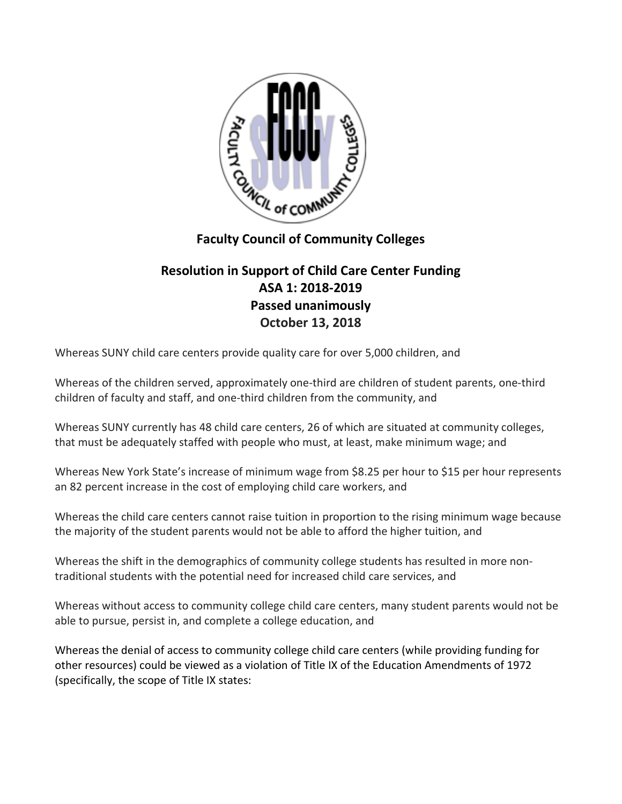

## **Faculty Council of Community Colleges**

## **Resolution in Support of Child Care Center Funding ASA 1: 2018-2019 Passed unanimously October 13, 2018**

Whereas SUNY child care centers provide quality care for over 5,000 children, and

Whereas of the children served, approximately one-third are children of student parents, one-third children of faculty and staff, and one-third children from the community, and

Whereas SUNY currently has 48 child care centers, 26 of which are situated at community colleges, that must be adequately staffed with people who must, at least, make minimum wage; and

Whereas New York State's increase of minimum wage from \$8.25 per hour to \$15 per hour represents an 82 percent increase in the cost of employing child care workers, and

Whereas the child care centers cannot raise tuition in proportion to the rising minimum wage because the majority of the student parents would not be able to afford the higher tuition, and

Whereas the shift in the demographics of community college students has resulted in more nontraditional students with the potential need for increased child care services, and

Whereas without access to community college child care centers, many student parents would not be able to pursue, persist in, and complete a college education, and

Whereas the denial of access to community college child care centers (while providing funding for other resources) could be viewed as a violation of Title IX of the Education Amendments of 1972 (specifically, the scope of Title IX states: